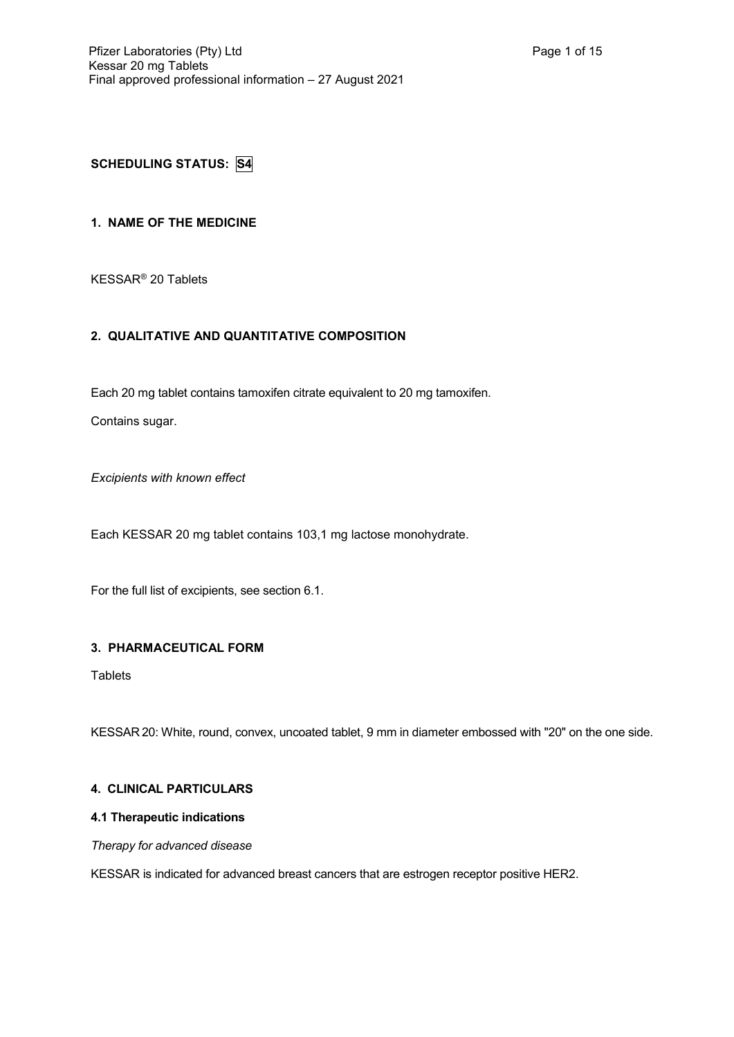# **SCHEDULING STATUS: S4**

# **1. NAME OF THE MEDICINE**

KESSAR® 20 Tablets

## **2. QUALITATIVE AND QUANTITATIVE COMPOSITION**

Each 20 mg tablet contains tamoxifen citrate equivalent to 20 mg tamoxifen.

Contains sugar.

*Excipients with known effect*

Each KESSAR 20 mg tablet contains 103,1 mg lactose monohydrate.

For the full list of excipients, see section 6.1.

### **3. PHARMACEUTICAL FORM**

**Tablets** 

KESSAR 20: White, round, convex, uncoated tablet, 9 mm in diameter embossed with "20" on the one side.

### **4. CLINICAL PARTICULARS**

# **4.1 Therapeutic indications**

### *Therapy for advanced disease*

KESSAR is indicated for advanced breast cancers that are estrogen receptor positive HER2.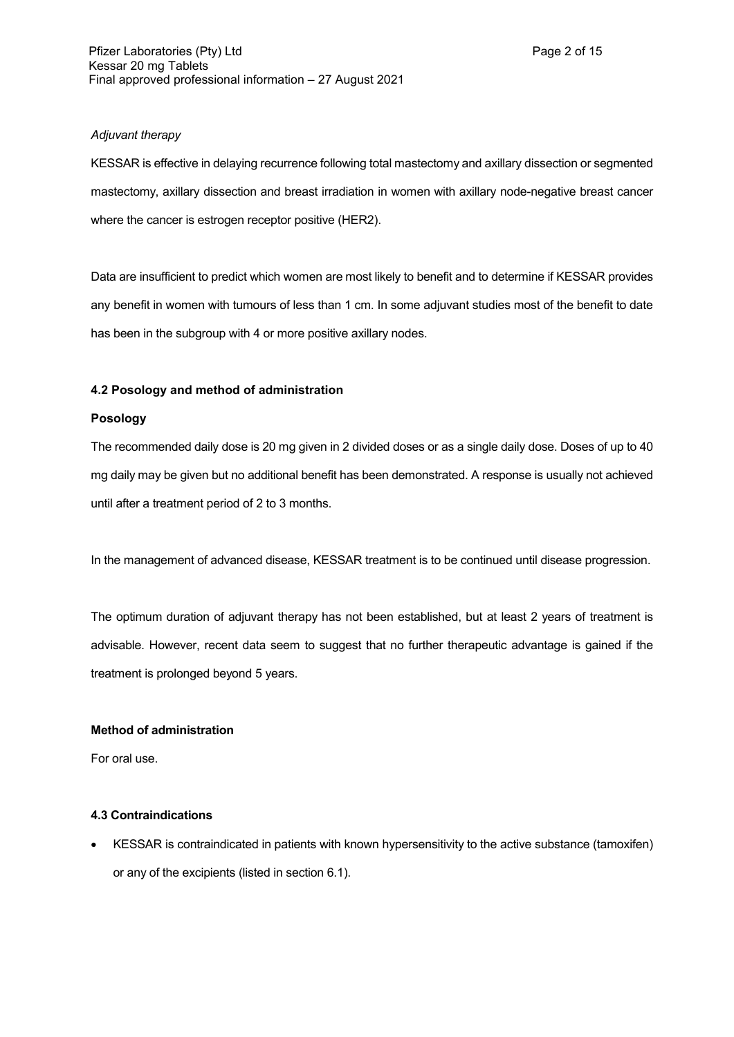## *Adjuvant therapy*

KESSAR is effective in delaying recurrence following total mastectomy and axillary dissection or segmented mastectomy, axillary dissection and breast irradiation in women with axillary node-negative breast cancer where the cancer is estrogen receptor positive (HER2).

Data are insufficient to predict which women are most likely to benefit and to determine if KESSAR provides any benefit in women with tumours of less than 1 cm. In some adjuvant studies most of the benefit to date has been in the subgroup with 4 or more positive axillary nodes.

### **4.2 Posology and method of administration**

### **Posology**

The recommended daily dose is 20 mg given in 2 divided doses or as a single daily dose. Doses of up to 40 mg daily may be given but no additional benefit has been demonstrated. A response is usually not achieved until after a treatment period of 2 to 3 months.

In the management of advanced disease, KESSAR treatment is to be continued until disease progression.

The optimum duration of adjuvant therapy has not been established, but at least 2 years of treatment is advisable. However, recent data seem to suggest that no further therapeutic advantage is gained if the treatment is prolonged beyond 5 years.

### **Method of administration**

For oral use.

## **4.3 Contraindications**

 KESSAR is contraindicated in patients with known hypersensitivity to the active substance (tamoxifen) or any of the excipients (listed in section 6.1).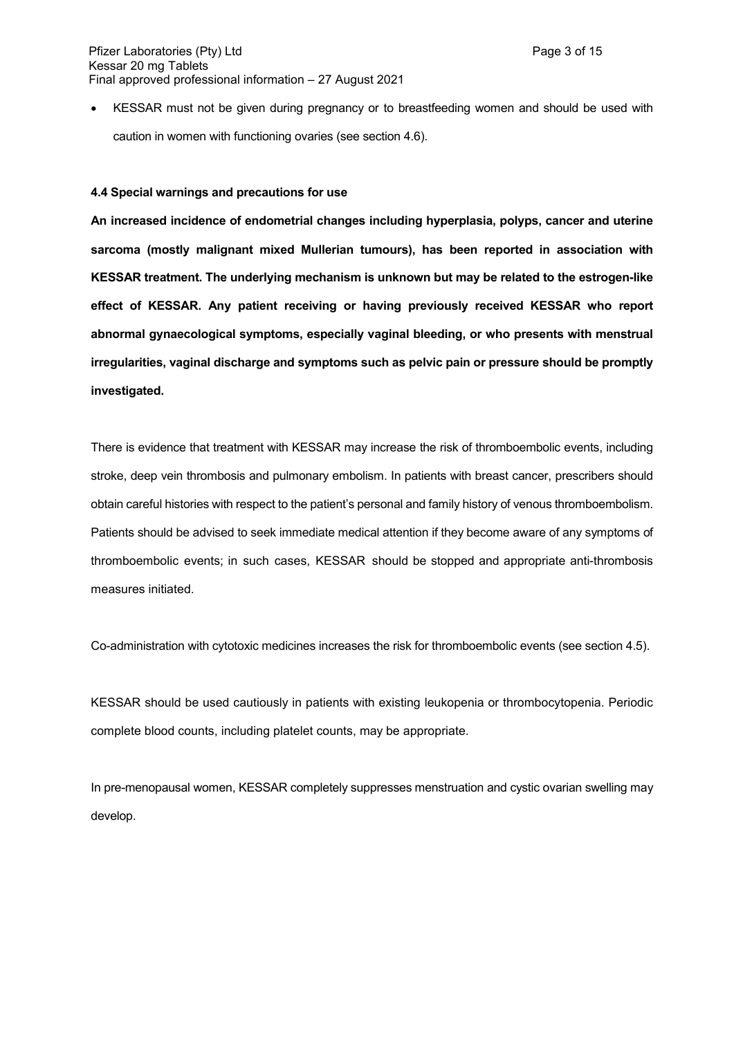KESSAR must not be given during pregnancy or to breastfeeding women and should be used with caution in women with functioning ovaries (see section 4.6).

#### **4.4 Special warnings and precautions for use**

**An increased incidence of endometrial changes including hyperplasia, polyps, cancer and uterine sarcoma (mostly malignant mixed Mullerian tumours), has been reported in association with KESSAR treatment. The underlying mechanism is unknown but may be related to the estrogen-like effect of KESSAR. Any patient receiving or having previously received KESSAR who report abnormal gynaecological symptoms, especially vaginal bleeding, or who presents with menstrual irregularities, vaginal discharge and symptoms such as pelvic pain or pressure should be promptly investigated.** 

There is evidence that treatment with KESSAR may increase the risk of thromboembolic events, including stroke, deep vein thrombosis and pulmonary embolism. In patients with breast cancer, prescribers should obtain careful histories with respect to the patient's personal and family history of venous thromboembolism. Patients should be advised to seek immediate medical attention if they become aware of any symptoms of thromboembolic events; in such cases, KESSAR should be stopped and appropriate anti-thrombosis measures initiated.

Co-administration with cytotoxic medicines increases the risk for thromboembolic events (see section 4.5).

KESSAR should be used cautiously in patients with existing leukopenia or thrombocytopenia. Periodic complete blood counts, including platelet counts, may be appropriate.

In pre-menopausal women, KESSAR completely suppresses menstruation and cystic ovarian swelling may develop.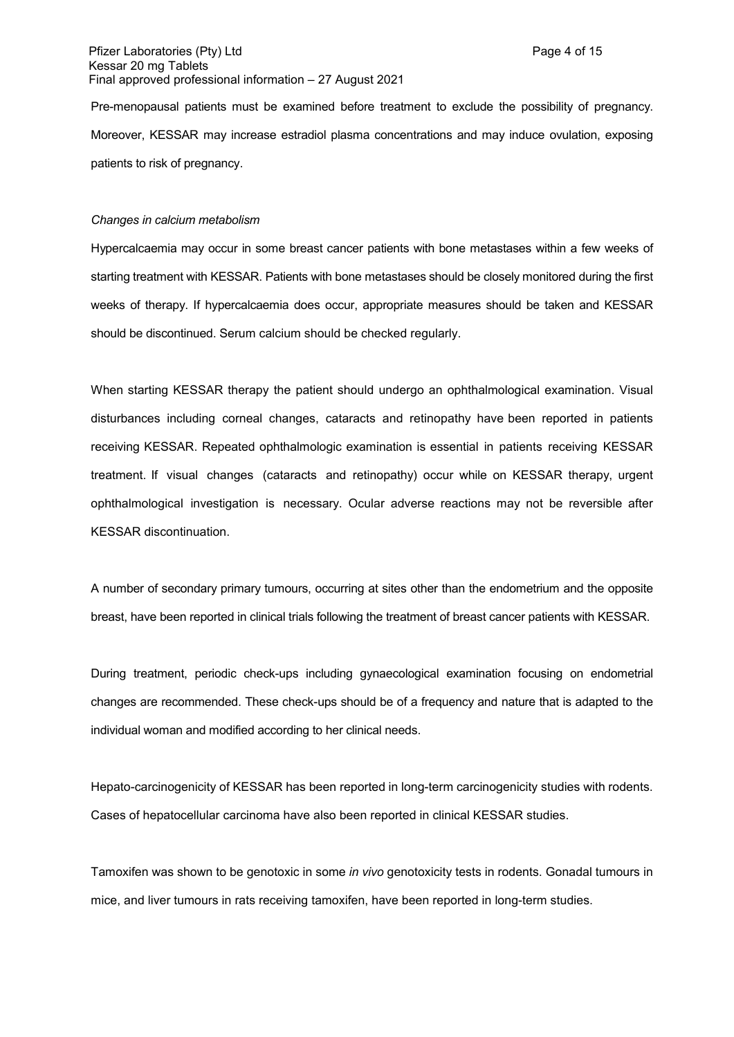Pre-menopausal patients must be examined before treatment to exclude the possibility of pregnancy. Moreover, KESSAR may increase estradiol plasma concentrations and may induce ovulation, exposing patients to risk of pregnancy.

#### *Changes in calcium metabolism*

Hypercalcaemia may occur in some breast cancer patients with bone metastases within a few weeks of starting treatment with KESSAR. Patients with bone metastases should be closely monitored during the first weeks of therapy. If hypercalcaemia does occur, appropriate measures should be taken and KESSAR should be discontinued. Serum calcium should be checked regularly.

When starting KESSAR therapy the patient should undergo an ophthalmological examination. Visual disturbances including corneal changes, cataracts and retinopathy have been reported in patients receiving KESSAR. Repeated ophthalmologic examination is essential in patients receiving KESSAR treatment. If visual changes (cataracts and retinopathy) occur while on KESSAR therapy, urgent ophthalmological investigation is necessary. Ocular adverse reactions may not be reversible after KESSAR discontinuation.

A number of secondary primary tumours, occurring at sites other than the endometrium and the opposite breast, have been reported in clinical trials following the treatment of breast cancer patients with KESSAR.

During treatment, periodic check-ups including gynaecological examination focusing on endometrial changes are recommended. These check-ups should be of a frequency and nature that is adapted to the individual woman and modified according to her clinical needs.

Hepato-carcinogenicity of KESSAR has been reported in long-term carcinogenicity studies with rodents. Cases of hepatocellular carcinoma have also been reported in clinical KESSAR studies.

Tamoxifen was shown to be genotoxic in some *in vivo* genotoxicity tests in rodents. Gonadal tumours in mice, and liver tumours in rats receiving tamoxifen, have been reported in long-term studies.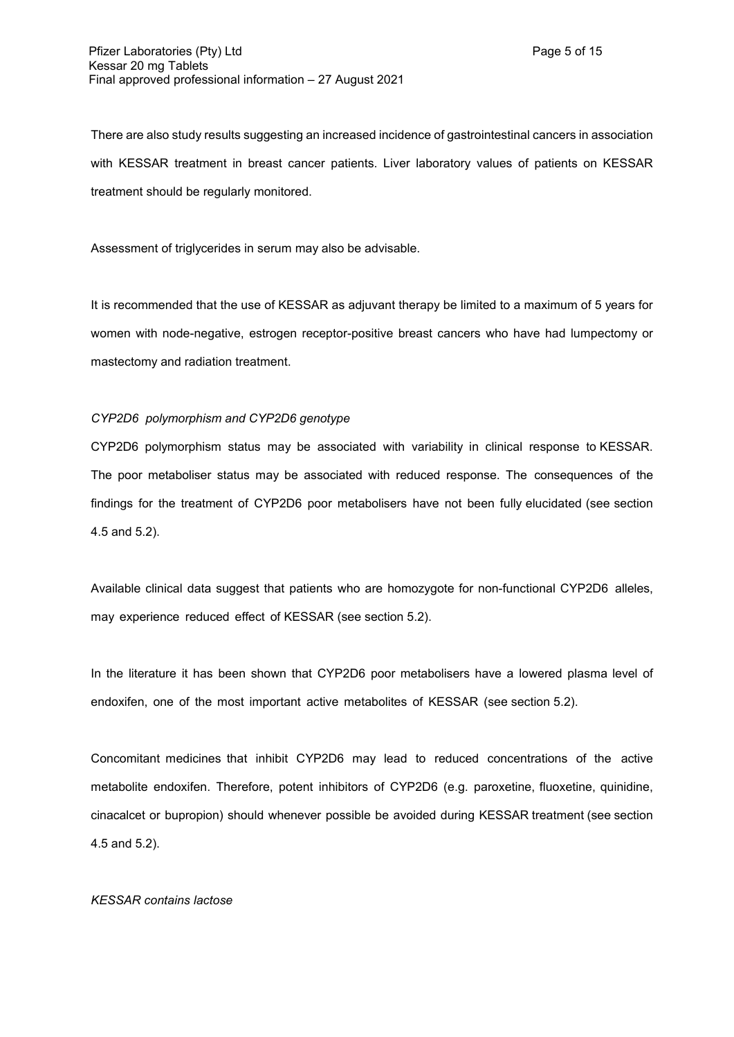There are also study results suggesting an increased incidence of gastrointestinal cancers in association with KESSAR treatment in breast cancer patients. Liver laboratory values of patients on KESSAR treatment should be regularly monitored.

Assessment of triglycerides in serum may also be advisable.

It is recommended that the use of KESSAR as adjuvant therapy be limited to a maximum of 5 years for women with node-negative, estrogen receptor-positive breast cancers who have had lumpectomy or mastectomy and radiation treatment.

### *CYP2D6 polymorphism and CYP2D6 genotype*

CYP2D6 polymorphism status may be associated with variability in clinical response to KESSAR. The poor metaboliser status may be associated with reduced response. The consequences of the findings for the treatment of CYP2D6 poor metabolisers have not been fully elucidated (see section 4.5 and 5.2).

Available clinical data suggest that patients who are homozygote for non-functional CYP2D6 alleles, may experience reduced effect of KESSAR (see section 5.2).

In the literature it has been shown that CYP2D6 poor metabolisers have a lowered plasma level of endoxifen, one of the most important active metabolites of KESSAR (see section 5.2).

Concomitant medicines that inhibit CYP2D6 may lead to reduced concentrations of the active metabolite endoxifen. Therefore, potent inhibitors of CYP2D6 (e.g. paroxetine, fluoxetine, quinidine, cinacalcet or bupropion) should whenever possible be avoided during KESSAR treatment (see section 4.5 and 5.2).

### *KESSAR contains lactose*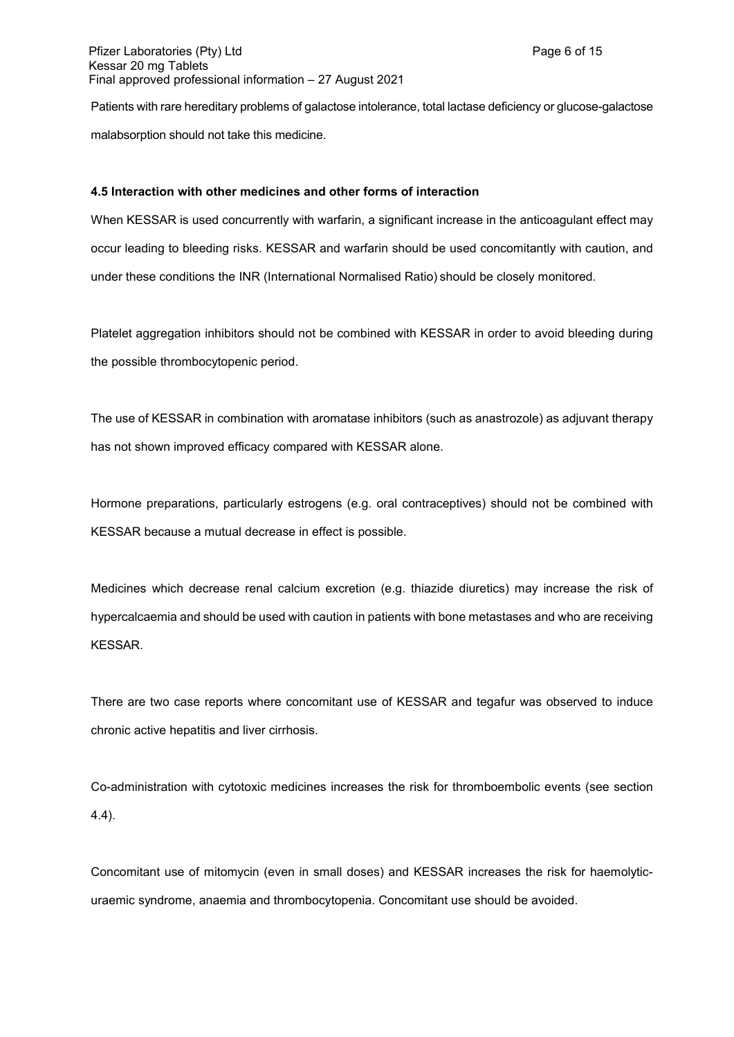Patients with rare hereditary problems of galactose intolerance, total lactase deficiency or glucose-galactose malabsorption should not take this medicine.

### **4.5 Interaction with other medicines and other forms of interaction**

When KESSAR is used concurrently with warfarin, a significant increase in the anticoagulant effect may occur leading to bleeding risks. KESSAR and warfarin should be used concomitantly with caution, and under these conditions the INR (International Normalised Ratio) should be closely monitored.

Platelet aggregation inhibitors should not be combined with KESSAR in order to avoid bleeding during the possible thrombocytopenic period.

The use of KESSAR in combination with aromatase inhibitors (such as anastrozole) as adjuvant therapy has not shown improved efficacy compared with KESSAR alone.

Hormone preparations, particularly estrogens (e.g. oral contraceptives) should not be combined with KESSAR because a mutual decrease in effect is possible.

Medicines which decrease renal calcium excretion (e.g. thiazide diuretics) may increase the risk of hypercalcaemia and should be used with caution in patients with bone metastases and who are receiving KESSAR.

There are two case reports where concomitant use of KESSAR and tegafur was observed to induce chronic active hepatitis and liver cirrhosis.

Co-administration with cytotoxic medicines increases the risk for thromboembolic events (see section 4.4).

Concomitant use of mitomycin (even in small doses) and KESSAR increases the risk for haemolyticuraemic syndrome, anaemia and thrombocytopenia. Concomitant use should be avoided.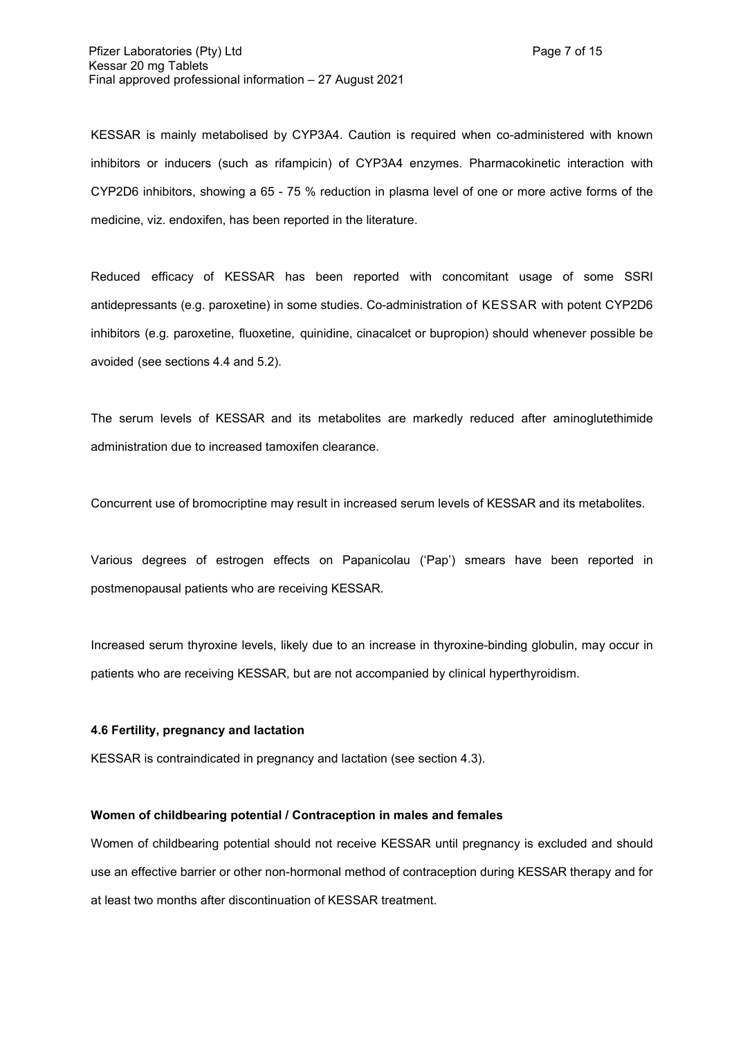KESSAR is mainly metabolised by CYP3A4. Caution is required when co-administered with known inhibitors or inducers (such as rifampicin) of CYP3A4 enzymes. Pharmacokinetic interaction with CYP2D6 inhibitors, showing a 65 - 75 % reduction in plasma level of one or more active forms of the medicine, viz. endoxifen, has been reported in the literature.

Reduced efficacy of KESSAR has been reported with concomitant usage of some SSRI antidepressants (e.g. paroxetine) in some studies. Co-administration of KESSAR with potent CYP2D6 inhibitors (e.g. paroxetine, fluoxetine, quinidine, cinacalcet or bupropion) should whenever possible be avoided (see sections 4.4 and 5.2).

The serum levels of KESSAR and its metabolites are markedly reduced after aminoglutethimide administration due to increased tamoxifen clearance.

Concurrent use of bromocriptine may result in increased serum levels of KESSAR and its metabolites.

Various degrees of estrogen effects on Papanicolau ('Pap') smears have been reported in postmenopausal patients who are receiving KESSAR.

Increased serum thyroxine levels, likely due to an increase in thyroxine-binding globulin, may occur in patients who are receiving KESSAR, but are not accompanied by clinical hyperthyroidism.

#### **4.6 Fertility, pregnancy and lactation**

KESSAR is contraindicated in pregnancy and lactation (see section 4.3).

### **Women of childbearing potential / Contraception in males and females**

Women of childbearing potential should not receive KESSAR until pregnancy is excluded and should use an effective barrier or other non-hormonal method of contraception during KESSAR therapy and for at least two months after discontinuation of KESSAR treatment.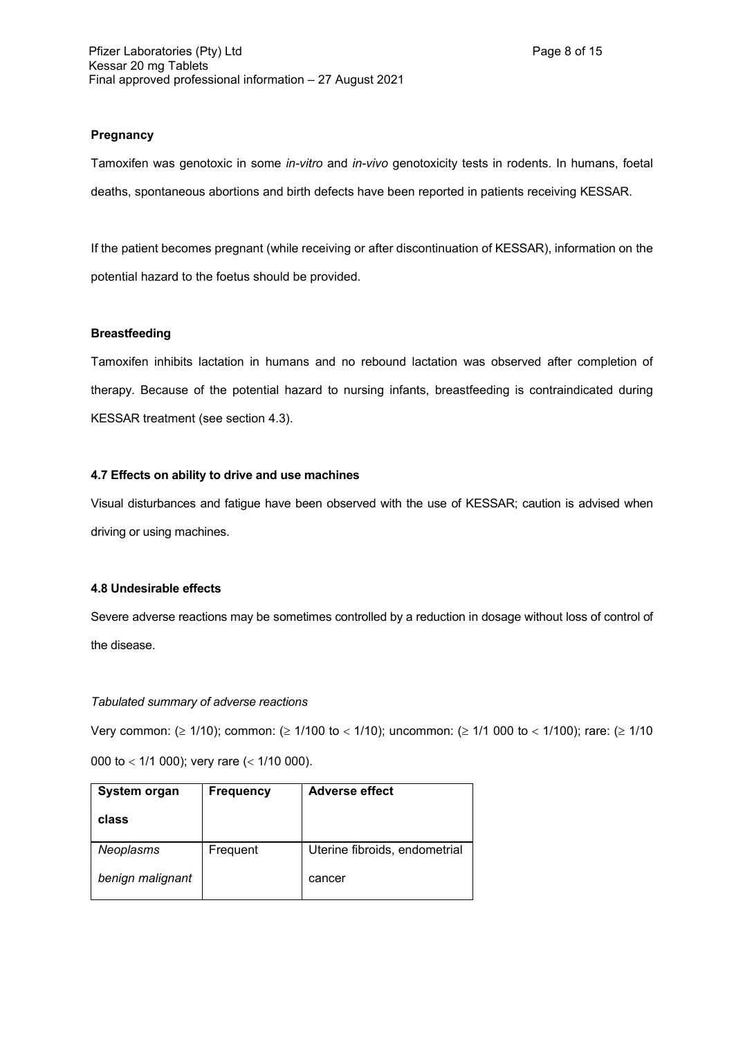## **Pregnancy**

Tamoxifen was genotoxic in some *in-vitro* and *in-vivo* genotoxicity tests in rodents. In humans, foetal deaths, spontaneous abortions and birth defects have been reported in patients receiving KESSAR.

If the patient becomes pregnant (while receiving or after discontinuation of KESSAR), information on the potential hazard to the foetus should be provided.

### **Breastfeeding**

Tamoxifen inhibits lactation in humans and no rebound lactation was observed after completion of therapy. Because of the potential hazard to nursing infants, breastfeeding is contraindicated during KESSAR treatment (see section 4.3).

### **4.7 Effects on ability to drive and use machines**

Visual disturbances and fatigue have been observed with the use of KESSAR; caution is advised when driving or using machines.

### **4.8 Undesirable effects**

Severe adverse reactions may be sometimes controlled by a reduction in dosage without loss of control of the disease.

### *Tabulated summary of adverse reactions*

Very common: ( $\geq 1/10$ ); common: ( $\geq 1/100$  to < 1/10); uncommon: ( $\geq 1/1$  000 to < 1/100); rare: ( $\geq 1/10$ 000 to  $<$  1/1 000); very rare ( $<$  1/10 000).

| System organ<br>class         | <b>Frequency</b> | <b>Adverse effect</b>         |
|-------------------------------|------------------|-------------------------------|
| Neoplasms<br>benign malignant | Frequent         | Uterine fibroids, endometrial |
|                               |                  | cancer                        |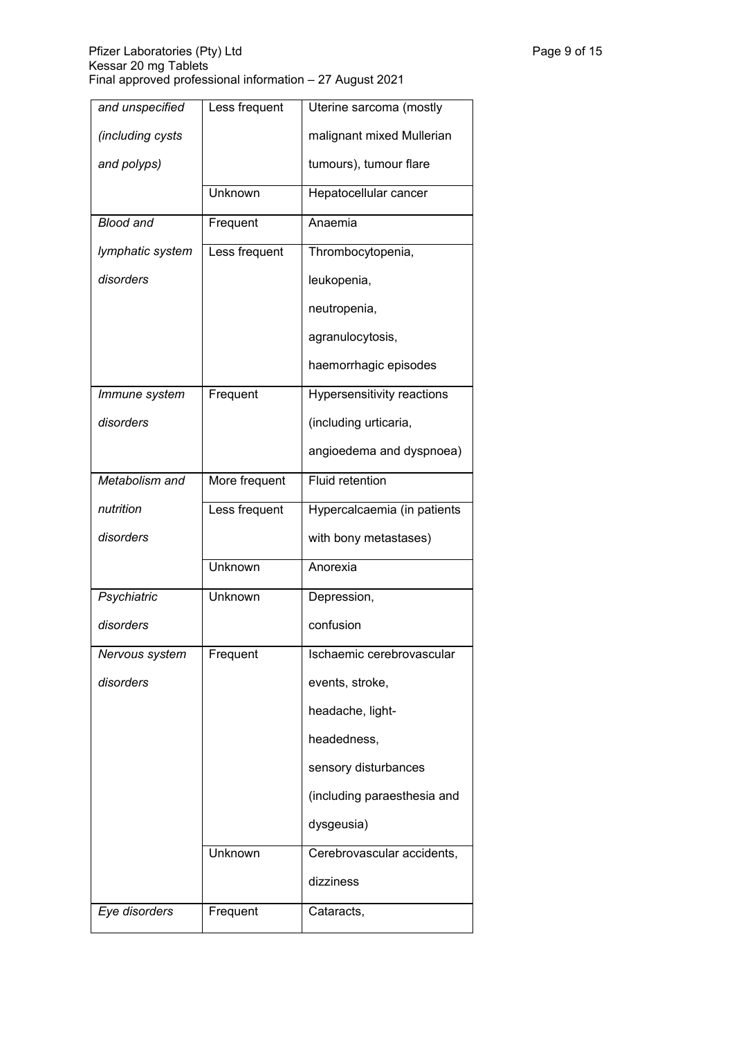| and unspecified  | Less frequent | Uterine sarcoma (mostly     |
|------------------|---------------|-----------------------------|
| (including cysts |               | malignant mixed Mullerian   |
| and polyps)      |               | tumours), tumour flare      |
|                  | Unknown       | Hepatocellular cancer       |
| <b>Blood and</b> | Frequent      | Anaemia                     |
| lymphatic system | Less frequent | Thrombocytopenia,           |
| disorders        |               | leukopenia,                 |
|                  |               | neutropenia,                |
|                  |               | agranulocytosis,            |
|                  |               | haemorrhagic episodes       |
| Immune system    | Frequent      | Hypersensitivity reactions  |
| disorders        |               | (including urticaria,       |
|                  |               | angioedema and dyspnoea)    |
| Metabolism and   | More frequent | <b>Fluid retention</b>      |
| nutrition        | Less frequent | Hypercalcaemia (in patients |
| disorders        |               | with bony metastases)       |
|                  | Unknown       | Anorexia                    |
| Psychiatric      | Unknown       | Depression,                 |
| disorders        |               | confusion                   |
| Nervous system   | Frequent      | Ischaemic cerebrovascular   |
| disorders        |               | events, stroke,             |
|                  |               | headache, light-            |
|                  |               | headedness,                 |
|                  |               | sensory disturbances        |
|                  |               | (including paraesthesia and |
|                  |               | dysgeusia)                  |
|                  | Unknown       | Cerebrovascular accidents,  |
|                  |               | dizziness                   |
| Eye disorders    | Frequent      | Cataracts,                  |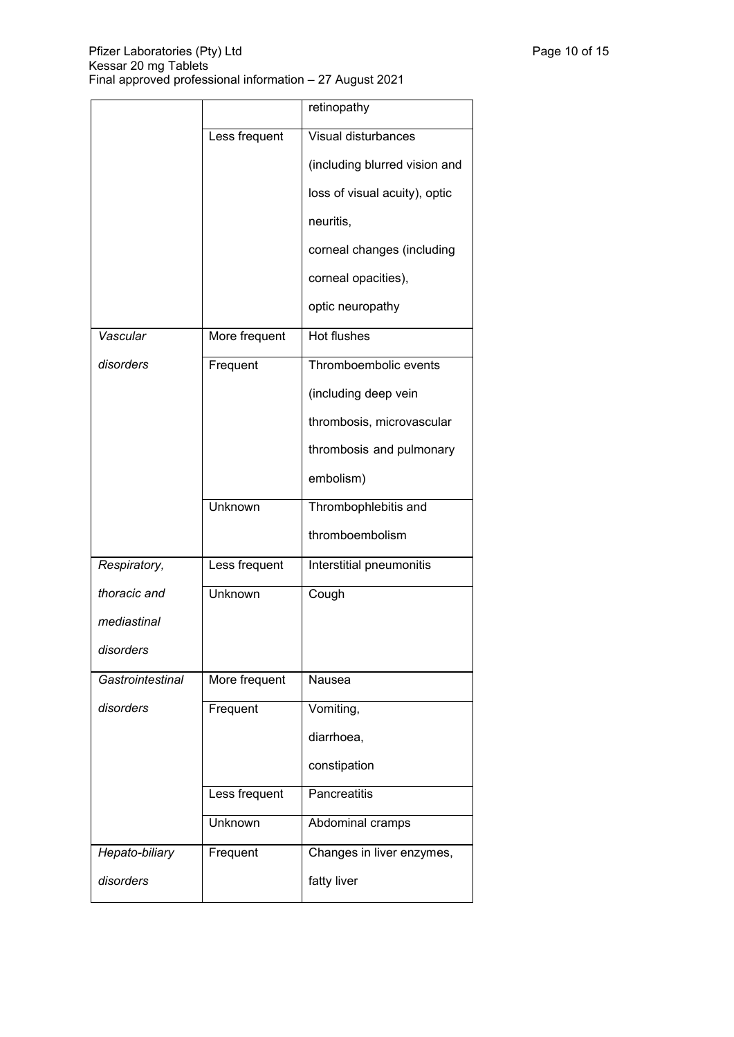|                  |               | retinopathy                   |
|------------------|---------------|-------------------------------|
|                  | Less frequent | Visual disturbances           |
|                  |               | (including blurred vision and |
|                  |               | loss of visual acuity), optic |
|                  |               | neuritis,                     |
|                  |               | corneal changes (including    |
|                  |               | corneal opacities),           |
|                  |               | optic neuropathy              |
| Vascular         | More frequent | <b>Hot flushes</b>            |
| disorders        | Frequent      | Thromboembolic events         |
|                  |               | (including deep vein          |
|                  |               | thrombosis, microvascular     |
|                  |               | thrombosis and pulmonary      |
|                  |               | embolism)                     |
|                  | Unknown       | Thrombophlebitis and          |
|                  |               | thromboembolism               |
| Respiratory,     | Less frequent | Interstitial pneumonitis      |
| thoracic and     | Unknown       | Cough                         |
| mediastinal      |               |                               |
| disorders        |               |                               |
| Gastrointestinal | More frequent | Nausea                        |
| disorders        | Frequent      | Vomiting,                     |
|                  |               | diarrhoea,                    |
|                  |               | constipation                  |
|                  | Less frequent | Pancreatitis                  |
|                  | Unknown       | Abdominal cramps              |
| Hepato-biliary   | Frequent      | Changes in liver enzymes,     |
| disorders        |               | fatty liver                   |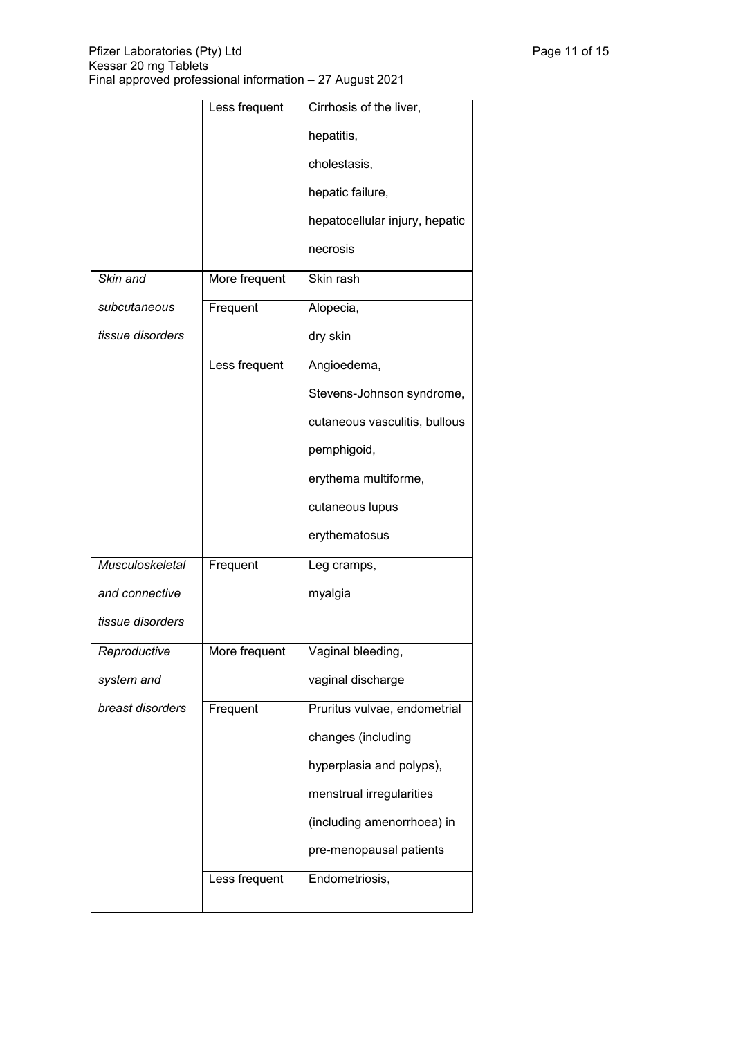|                        | Less frequent | Cirrhosis of the liver,        |
|------------------------|---------------|--------------------------------|
|                        |               | hepatitis,                     |
|                        |               | cholestasis,                   |
|                        |               | hepatic failure,               |
|                        |               | hepatocellular injury, hepatic |
|                        |               | necrosis                       |
| Skin and               | More frequent | Skin rash                      |
| subcutaneous           | Frequent      | Alopecia,                      |
| tissue disorders       |               | dry skin                       |
|                        | Less frequent | Angioedema,                    |
|                        |               | Stevens-Johnson syndrome,      |
|                        |               | cutaneous vasculitis, bullous  |
|                        |               | pemphigoid,                    |
|                        |               | erythema multiforme,           |
|                        |               | cutaneous lupus                |
|                        |               | erythematosus                  |
| <b>Musculoskeletal</b> | Frequent      | Leg cramps,                    |
| and connective         |               | myalgia                        |
| tissue disorders       |               |                                |
| Reproductive           | More frequent | Vaginal bleeding,              |
| system and             |               | vaginal discharge              |
| breast disorders       | Frequent      | Pruritus vulvae, endometrial   |
|                        |               | changes (including             |
|                        |               | hyperplasia and polyps),       |
|                        |               | menstrual irregularities       |
|                        |               | (including amenorrhoea) in     |
|                        |               | pre-menopausal patients        |
|                        | Less frequent | Endometriosis,                 |
|                        |               |                                |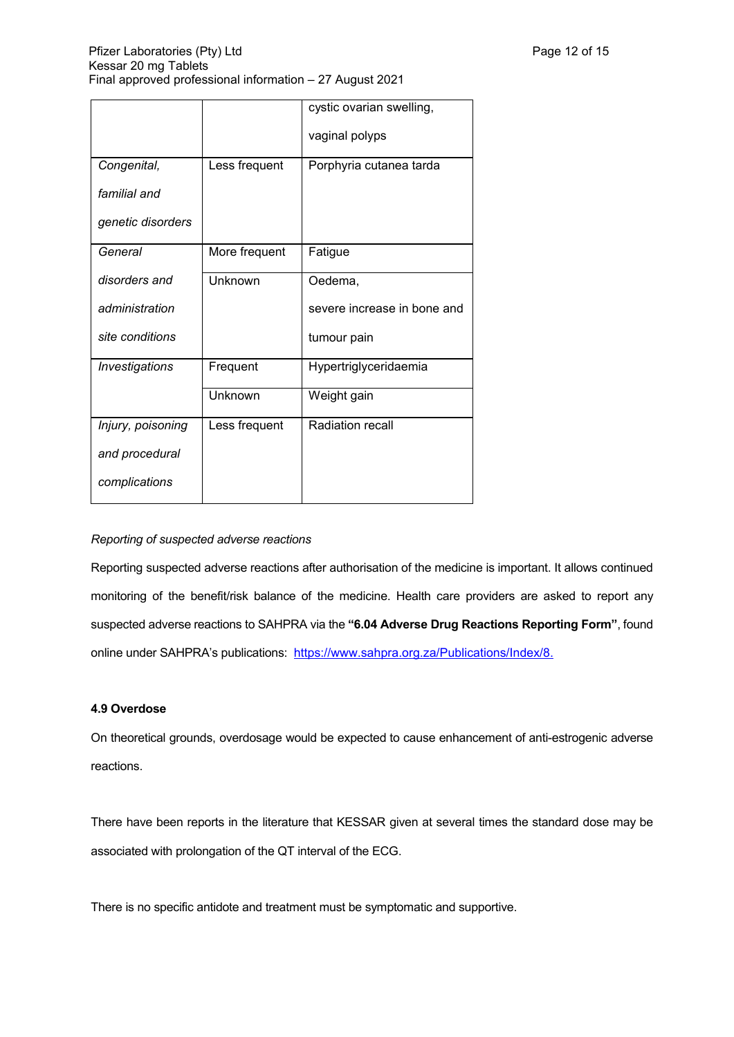|                       |               | cystic ovarian swelling,    |
|-----------------------|---------------|-----------------------------|
|                       |               | vaginal polyps              |
| Congenital,           | Less frequent | Porphyria cutanea tarda     |
| familial and          |               |                             |
| genetic disorders     |               |                             |
| General               | More frequent | Fatigue                     |
| disorders and         | Unknown       | Oedema,                     |
| administration        |               | severe increase in bone and |
| site conditions       |               | tumour pain                 |
| <b>Investigations</b> | Frequent      | Hypertriglyceridaemia       |
|                       | Unknown       | Weight gain                 |
| Injury, poisoning     | Less frequent | <b>Radiation recall</b>     |
| and procedural        |               |                             |
| complications         |               |                             |

## *Reporting of suspected adverse reactions*

Reporting suspected adverse reactions after authorisation of the medicine is important. It allows continued monitoring of the benefit/risk balance of the medicine. Health care providers are asked to report any suspected adverse reactions to SAHPRA via the **"6.04 Adverse Drug Reactions Reporting Form"**, found online under SAHPRA's publications: <https://www.sahpra.org.za/Publications/Index/8>.

### **4.9 Overdose**

On theoretical grounds, overdosage would be expected to cause enhancement of anti-estrogenic adverse reactions.

There have been reports in the literature that KESSAR given at several times the standard dose may be associated with prolongation of the QT interval of the ECG.

There is no specific antidote and treatment must be symptomatic and supportive.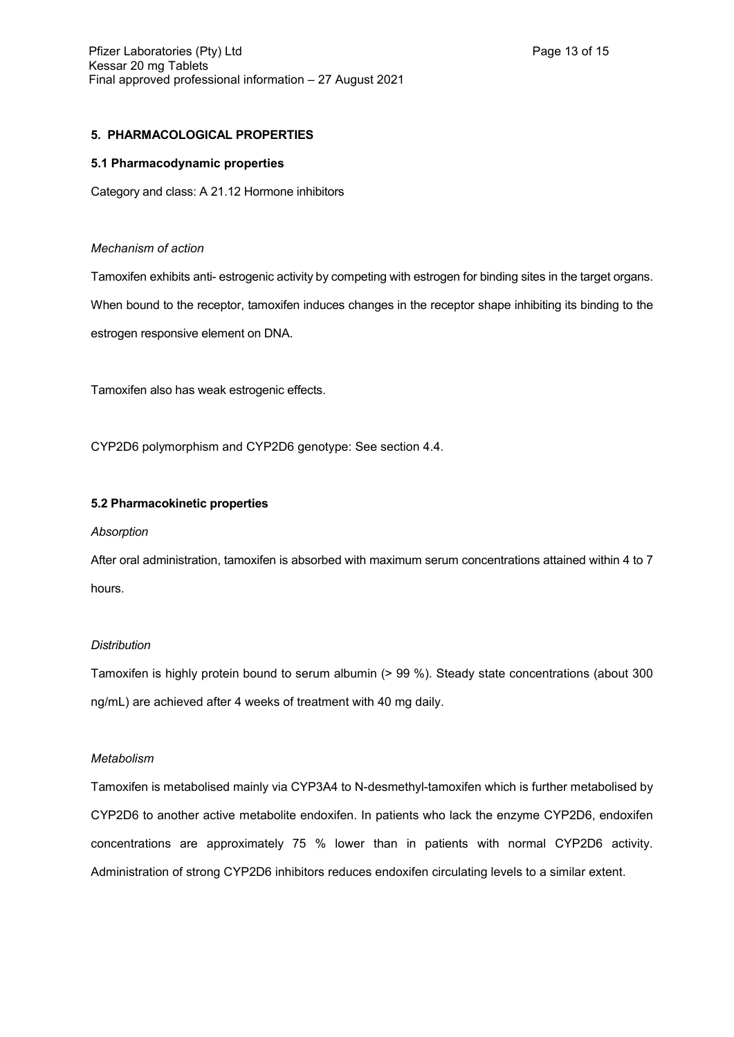### **5. PHARMACOLOGICAL PROPERTIES**

#### **5.1 Pharmacodynamic properties**

Category and class: A 21.12 Hormone inhibitors

#### *Mechanism of action*

Tamoxifen exhibits anti- estrogenic activity by competing with estrogen for binding sites in the target organs. When bound to the receptor, tamoxifen induces changes in the receptor shape inhibiting its binding to the estrogen responsive element on DNA.

Tamoxifen also has weak estrogenic effects.

CYP2D6 polymorphism and CYP2D6 genotype: See section 4.4.

### **5.2 Pharmacokinetic properties**

#### *Absorption*

After oral administration, tamoxifen is absorbed with maximum serum concentrations attained within 4 to 7 hours.

## *Distribution*

Tamoxifen is highly protein bound to serum albumin (> 99 %). Steady state concentrations (about 300 ng/mL) are achieved after 4 weeks of treatment with 40 mg daily.

### *Metabolism*

Tamoxifen is metabolised mainly via CYP3A4 to N-desmethyl-tamoxifen which is further metabolised by CYP2D6 to another active metabolite endoxifen. In patients who lack the enzyme CYP2D6, endoxifen concentrations are approximately 75 % lower than in patients with normal CYP2D6 activity. Administration of strong CYP2D6 inhibitors reduces endoxifen circulating levels to a similar extent.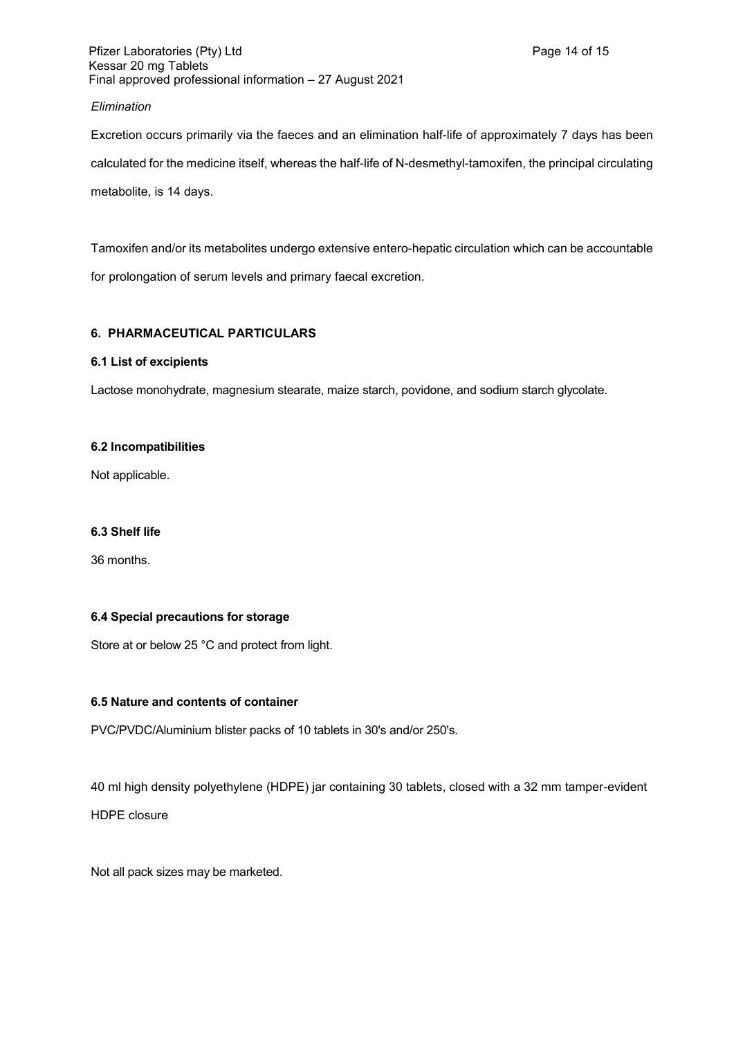### *Elimination*

Excretion occurs primarily via the faeces and an elimination half-life of approximately 7 days has been calculated for the medicine itself, whereas the half-life of N-desmethyl-tamoxifen, the principal circulating metabolite, is 14 days.

Tamoxifen and/or its metabolites undergo extensive entero-hepatic circulation which can be accountable for prolongation of serum levels and primary faecal excretion.

## **6. PHARMACEUTICAL PARTICULARS**

### **6.1 List of excipients**

Lactose monohydrate, magnesium stearate, maize starch, povidone, and sodium starch glycolate.

### **6.2 Incompatibilities**

Not applicable.

## **6.3 Shelf life**

36 months.

### **6.4 Special precautions for storage**

Store at or below 25 °C and protect from light.

## **6.5 Nature and contents of container**

PVC/PVDC/Aluminium blister packs of 10 tablets in 30's and/or 250's.

40 ml high density polyethylene (HDPE) jar containing 30 tablets, closed with a 32 mm tamper-evident HDPE closure

Not all pack sizes may be marketed.